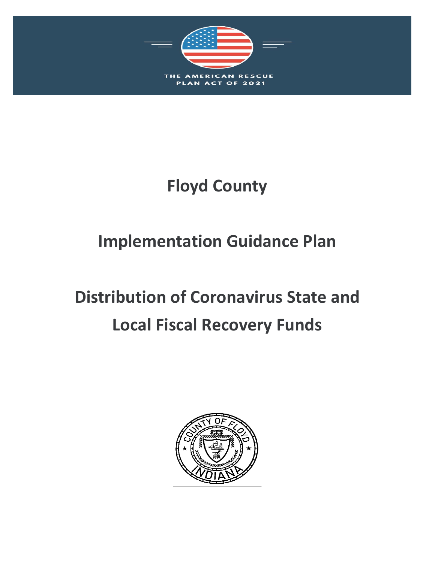

# **Floyd County**

# **Implementation Guidance Plan**

# **Distribution of Coronavirus State and Local Fiscal Recovery Funds**

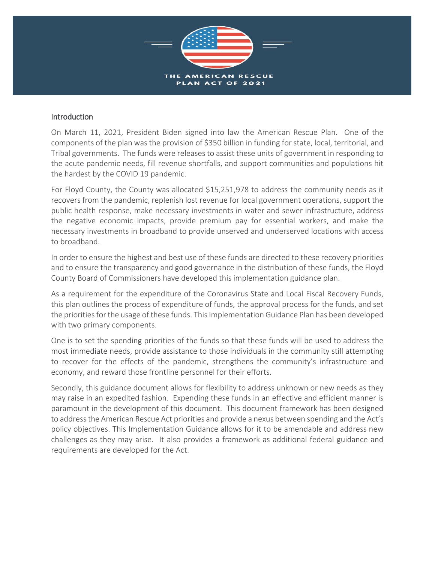

# Introduction

On March 11, 2021, President Biden signed into law the American Rescue Plan. One of the components of the plan was the provision of \$350 billion in funding for state, local, territorial, and Tribal governments. The funds were releases to assist these units of government in responding to the acute pandemic needs, fill revenue shortfalls, and support communities and populations hit the hardest by the COVID 19 pandemic.

For Floyd County, the County was allocated \$15,251,978 to address the community needs as it recovers from the pandemic, replenish lost revenue for local government operations, support the public health response, make necessary investments in water and sewer infrastructure, address the negative economic impacts, provide premium pay for essential workers, and make the necessary investments in broadband to provide unserved and underserved locations with access to broadband.

In order to ensure the highest and best use of these funds are directed to these recovery priorities and to ensure the transparency and good governance in the distribution of these funds, the Floyd County Board of Commissioners have developed this implementation guidance plan.

As a requirement for the expenditure of the Coronavirus State and Local Fiscal Recovery Funds, this plan outlines the process of expenditure of funds, the approval process for the funds, and set the priorities for the usage of these funds. This Implementation Guidance Plan has been developed with two primary components.

One is to set the spending priorities of the funds so that these funds will be used to address the most immediate needs, provide assistance to those individuals in the community still attempting to recover for the effects of the pandemic, strengthens the community's infrastructure and economy, and reward those frontline personnel for their efforts.

Secondly, this guidance document allows for flexibility to address unknown or new needs as they may raise in an expedited fashion. Expending these funds in an effective and efficient manner is paramount in the development of this document. This document framework has been designed to address the American Rescue Act priorities and provide a nexus between spending and the Act's policy objectives. This Implementation Guidance allows for it to be amendable and address new challenges as they may arise. It also provides a framework as additional federal guidance and requirements are developed for the Act.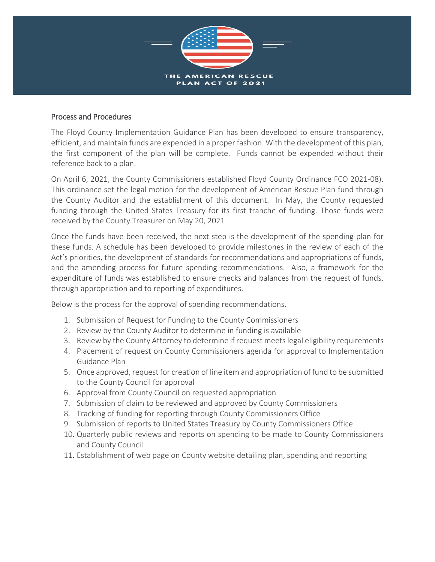

# Process and Procedures

The Floyd County Implementation Guidance Plan has been developed to ensure transparency, efficient, and maintain funds are expended in a proper fashion. With the development of this plan, the first component of the plan will be complete. Funds cannot be expended without their reference back to a plan.

On April 6, 2021, the County Commissioners established Floyd County Ordinance FCO 2021-08). This ordinance set the legal motion for the development of American Rescue Plan fund through the County Auditor and the establishment of this document. In May, the County requested funding through the United States Treasury for its first tranche of funding. Those funds were received by the County Treasurer on May 20, 2021

Once the funds have been received, the next step is the development of the spending plan for these funds. A schedule has been developed to provide milestones in the review of each of the Act's priorities, the development of standards for recommendations and appropriations of funds, and the amending process for future spending recommendations. Also, a framework for the expenditure of funds was established to ensure checks and balances from the request of funds, through appropriation and to reporting of expenditures.

Below is the process for the approval of spending recommendations.

- 1. Submission of Request for Funding to the County Commissioners
- 2. Review by the County Auditor to determine in funding is available
- 3. Review by the County Attorney to determine if request meets legal eligibility requirements
- 4. Placement of request on County Commissioners agenda for approval to Implementation Guidance Plan
- 5. Once approved, request for creation of line item and appropriation of fund to be submitted to the County Council for approval
- 6. Approval from County Council on requested appropriation
- 7. Submission of claim to be reviewed and approved by County Commissioners
- 8. Tracking of funding for reporting through County Commissioners Office
- 9. Submission of reports to United States Treasury by County Commissioners Office
- 10. Quarterly public reviews and reports on spending to be made to County Commissioners and County Council
- 11. Establishment of web page on County website detailing plan, spending and reporting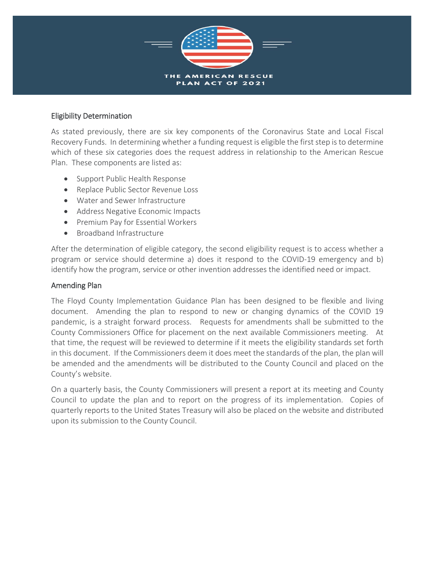

# Eligibility Determination

As stated previously, there are six key components of the Coronavirus State and Local Fiscal Recovery Funds. In determining whether a funding request is eligible the first step is to determine which of these six categories does the request address in relationship to the American Rescue Plan. These components are listed as:

- Support Public Health Response
- Replace Public Sector Revenue Loss
- Water and Sewer Infrastructure
- Address Negative Economic Impacts
- Premium Pay for Essential Workers
- Broadband Infrastructure

After the determination of eligible category, the second eligibility request is to access whether a program or service should determine a) does it respond to the COVID-19 emergency and b) identify how the program, service or other invention addresses the identified need or impact.

# Amending Plan

The Floyd County Implementation Guidance Plan has been designed to be flexible and living document. Amending the plan to respond to new or changing dynamics of the COVID 19 pandemic, is a straight forward process. Requests for amendments shall be submitted to the County Commissioners Office for placement on the next available Commissioners meeting. At that time, the request will be reviewed to determine if it meets the eligibility standards set forth in this document. If the Commissioners deem it does meet the standards of the plan, the plan will be amended and the amendments will be distributed to the County Council and placed on the County's website.

On a quarterly basis, the County Commissioners will present a report at its meeting and County Council to update the plan and to report on the progress of its implementation. Copies of quarterly reports to the United States Treasury will also be placed on the website and distributed upon its submission to the County Council.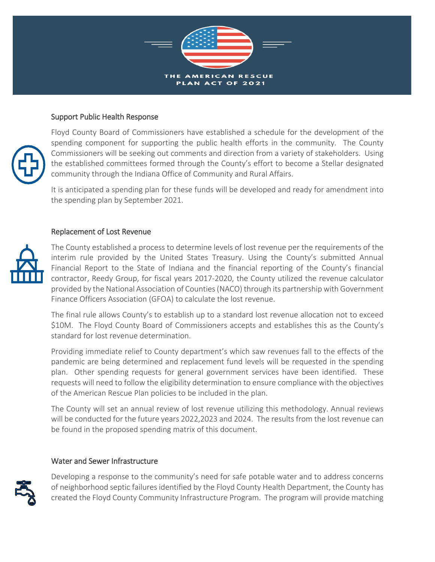

# Support Public Health Response



Floyd County Board of Commissioners have established a schedule for the development of the spending component for supporting the public health efforts in the community. The County Commissioners will be seeking out comments and direction from a variety of stakeholders. Using the established committees formed through the County's effort to become a Stellar designated community through the Indiana Office of Community and Rural Affairs.

It is anticipated a spending plan for these funds will be developed and ready for amendment into the spending plan by September 2021.

#### Replacement of Lost Revenue



The County established a process to determine levels of lost revenue per the requirements of the interim rule provided by the United States Treasury. Using the County's submitted Annual Financial Report to the State of Indiana and the financial reporting of the County's financial contractor, Reedy Group, for fiscal years 2017-2020, the County utilized the revenue calculator provided by the National Association of Counties (NACO) through its partnership with Government Finance Officers Association (GFOA) to calculate the lost revenue.

The final rule allows County's to establish up to a standard lost revenue allocation not to exceed \$10M. The Floyd County Board of Commissioners accepts and establishes this as the County's standard for lost revenue determination.

Providing immediate relief to County department's which saw revenues fall to the effects of the pandemic are being determined and replacement fund levels will be requested in the spending plan. Other spending requests for general government services have been identified. These requests will need to follow the eligibility determination to ensure compliance with the objectives of the American Rescue Plan policies to be included in the plan.

The County will set an annual review of lost revenue utilizing this methodology. Annual reviews will be conducted for the future years 2022,2023 and 2024. The results from the lost revenue can be found in the proposed spending matrix of this document.

#### Water and Sewer Infrastructure



Developing a response to the community's need for safe potable water and to address concerns of neighborhood septic failures identified by the Floyd County Health Department, the County has created the Floyd County Community Infrastructure Program. The program will provide matching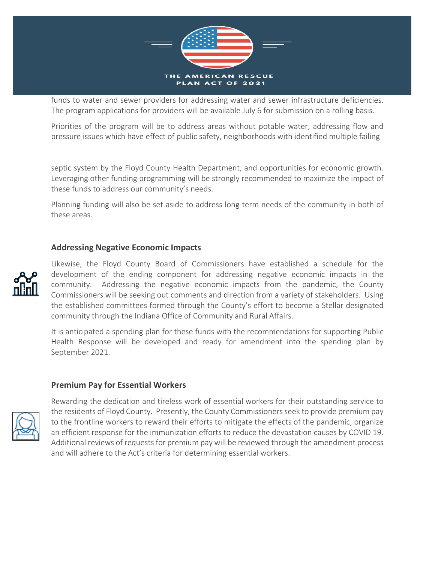

funds to water and sewer providers for addressing water and sewer infrastructure deficiencies. The program applications for providers will be available July 6 for submission on a rolling basis.

Priorities of the program will be to address areas without potable water, addressing flow and pressure issues which have effect of public safety, neighborhoods with identified multiple failing

septic system by the Floyd County Health Department, and opportunities for economic growth. Leveraging other funding programming will be strongly recommended to maximize the impact of these funds to address our community's needs.

Planning funding will also be set aside to address long-term needs of the community in both of these areas.

# **Addressing Negative Economic Impacts**



Likewise, the Floyd County Board of Commissioners have established a schedule for the development of the ending component for addressing negative economic impacts in the community. Addressing the negative economic impacts from the pandemic, the County Commissioners will be seeking out comments and direction from a variety of stakeholders. Using the established committees formed through the County's effort to become a Stellar designated community through the Indiana Office of Community and Rural Affairs.

It is anticipated a spending plan for these funds with the recommendations for supporting Public Health Response will be developed and ready for amendment into the spending plan by September 2021.

#### **Premium Pay for Essential Workers**



Rewarding the dedication and tireless work of essential workers for their outstanding service to the residents of Floyd County. Presently, the County Commissioners seek to provide premium pay to the frontline workers to reward their efforts to mitigate the effects of the pandemic, organize an efficient response for the immunization efforts to reduce the devastation causes by COVID 19. Additional reviews of requests for premium pay will be reviewed through the amendment process and will adhere to the Act's criteria for determining essential workers.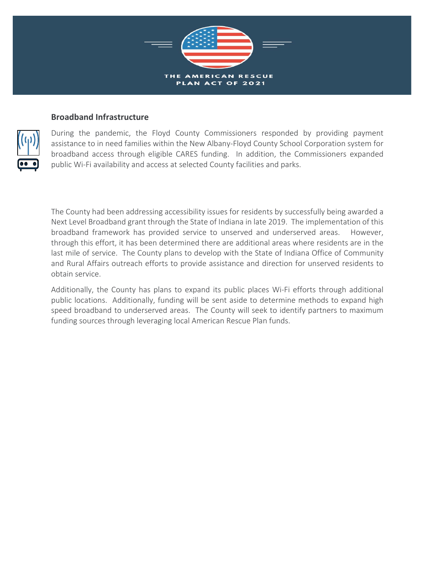

# **Broadband Infrastructure**



During the pandemic, the Floyd County Commissioners responded by providing payment assistance to in need families within the New Albany-Floyd County School Corporation system for broadband access through eligible CARES funding. In addition, the Commissioners expanded public Wi-Fi availability and access at selected County facilities and parks.

The County had been addressing accessibility issues for residents by successfully being awarded a Next Level Broadband grant through the State of Indiana in late 2019. The implementation of this broadband framework has provided service to unserved and underserved areas. However, through this effort, it has been determined there are additional areas where residents are in the last mile of service. The County plans to develop with the State of Indiana Office of Community and Rural Affairs outreach efforts to provide assistance and direction for unserved residents to obtain service.

Additionally, the County has plans to expand its public places Wi-Fi efforts through additional public locations. Additionally, funding will be sent aside to determine methods to expand high speed broadband to underserved areas. The County will seek to identify partners to maximum funding sources through leveraging local American Rescue Plan funds.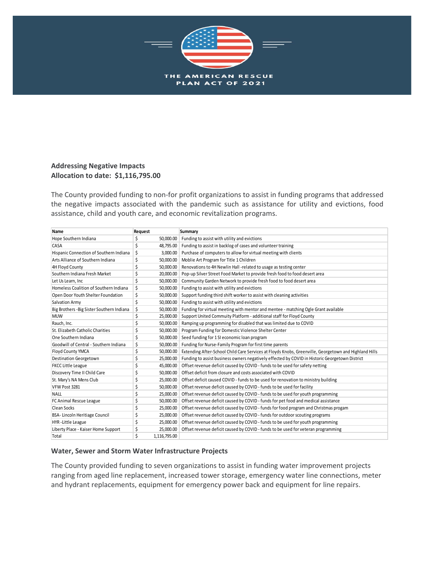

#### **Addressing Negative Impacts Allocation to date: \$1,116,795.00**

The County provided funding to non-for profit organizations to assist in funding programs that addressed the negative impacts associated with the pandemic such as assistance for utility and evictions, food assistance, child and youth care, and economic revitalization programs.

| Name                                       | Request |              | Summary                                                                                               |
|--------------------------------------------|---------|--------------|-------------------------------------------------------------------------------------------------------|
| Hope Southern Indiana                      | \$      | 50,000.00    | Funding to assist with utility and evictions                                                          |
| CASA                                       | \$      | 48,795.00    | Funding to assist in backlog of cases and volunteer training                                          |
| Hispanic Connection of Southern Indiana    | \$      | 3.000.00     | Purchase of computers to allow for virtual meeting with clients                                       |
| Arts Alliance of Southern Indiana          | \$      | 50.000.00    | Moblie Art Program for Title 1 Children                                                               |
| 4H Floyd County                            | \$      | 50,000.00    | Renovations to 4H Newlin Hall -related to usage as testing center                                     |
| Southern Indiana Fresh Market              | \$      | 20,000.00    | Pop-up Silver Street Food Market to provide fresh food to food desert area                            |
| Let Us Learn, Inc.                         | \$      | 50,000.00    | Community Garden Network to provide fresh food to food desert area                                    |
| Homeless Coalition of Southern Indiana     | \$      | 50,000.00    | Funding to assist with utility and evictions                                                          |
| Open Door Youth Shelter Foundation         | \$      | 50,000.00    | Support funding third shift worker to assist with cleaning activities                                 |
| Salvation Army                             | \$      | 50,000.00    | Funding to assist with utility and evictions                                                          |
| Big Brothers - Big Sister Southern Indiana | \$      | 50,000.00    | Funding for virtual meeting with mentor and mentee - matching Ogle Grant available                    |
| <b>MUW</b>                                 | \$      | 25,000.00    | Support United Commuity Platform - additional staff for Floyd County                                  |
| Rauch, Inc.                                | \$      | 50,000.00    | Ramping up programming for disabled that was limited due to COVID                                     |
| St. Elizabeth Catholic Charities           | \$      | 50,000.00    | Program Funding for Domestic Violence Shelter Center                                                  |
| One Southern Indiana                       | \$      | 50,000.00    | Seed funding for 1 SI economic loan program                                                           |
| Goodwill of Central - Southern Indiana     | \$      | 50,000.00    | Funding for Nurse-Family Program for first time parents                                               |
| Floyd County YMCA                          | \$      | 50.000.00    | Extending After-School Child Care Services at Floyds Knobs, Greenville, Georgetown and Highland Hills |
| Destination Georgetown                     | \$      | 25,000.00    | Funding to assist business owners negatively effected by COVID in Historic Georgetown District        |
| <b>FKCC Little League</b>                  | \$      | 45,000.00    | Offset revenue deficit caused by COVID - funds to be used for safety netting                          |
| Discovery Time II Child Care               | \$      | 50,000.00    | Offset deficit from closure and costs associated with COVID                                           |
| St. Mary's NA Mens Club                    | \$      | 25,000.00    | Offset deficit caused COVID - funds to be used for renovation to ministry building                    |
| VFW Post 3281                              | \$      | 50,000.00    | Offset revenue deficit caused by COVID - funds to be used for facility                                |
| <b>NALL</b>                                | \$      | 25,000.00    | Offset revenue deficit caused by COVID - funds to be used for youth programming                       |
| FC Animal Rescue League                    | \$      | 50,000.00    | Offset revenue deficit caused by COVID - funds for pet food and medical assistance                    |
| Clean Socks                                | \$      | 25.000.00    | Offset revenue deficit caused by COVID - funds for food program and Christmas progam                  |
| BSA-Lincoln Heritiage Council              | \$      | 25,000.00    | Offset revenue deficit caused by COVID - funds for outdoor scouting programs                          |
| <b>HYR-Little League</b>                   | \$      | 25,000.00    | Offset revenue deficit caused by COVID - funds to be used for youth programming                       |
| Liberty Place - Kaiser Home Support        | \$      | 25,000.00    | Offset revenue deficit caused by COVID - funds to be used for veteran programming                     |
| Total                                      | \$      | 1.116.795.00 |                                                                                                       |

#### **Water, Sewer and Storm Water Infrastructure Projects**

The County provided funding to seven organizations to assist in funding water improvement projects ranging from aged line replacement, increased tower storage, emergency water line connections, meter and hydrant replacements, equipment for emergency power back and equipment for line repairs.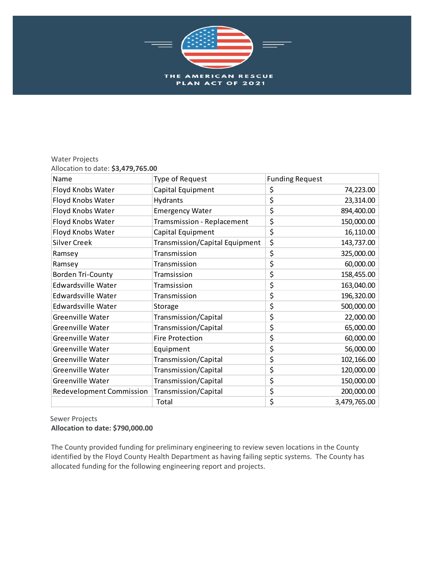

#### Water Projects Allocation to date: **\$3,479,765.00**

| Name                      | <b>Type of Request</b>         | <b>Funding Request</b> |              |
|---------------------------|--------------------------------|------------------------|--------------|
| Floyd Knobs Water         | Capital Equipment              | \$                     | 74,223.00    |
| Floyd Knobs Water         | <b>Hydrants</b>                | \$                     | 23,314.00    |
| Floyd Knobs Water         | <b>Emergency Water</b>         | \$                     | 894,400.00   |
| Floyd Knobs Water         | Tramsmission - Replacement     | \$                     | 150,000.00   |
| Floyd Knobs Water         | Capital Equipment              | \$                     | 16,110.00    |
| <b>Silver Creek</b>       | Transmission/Capital Equipment | \$                     | 143,737.00   |
| Ramsey                    | Transmission                   | \$                     | 325,000.00   |
| Ramsey                    | Transmission                   | \$                     | 60,000.00    |
| <b>Borden Tri-County</b>  | Tramsission                    | \$                     | 158,455.00   |
| <b>Edwardsville Water</b> | Tramsission                    | \$                     | 163,040.00   |
| <b>Edwardsville Water</b> | Transmission                   | \$                     | 196,320.00   |
| <b>Edwardsville Water</b> | Storage                        | \$                     | 500,000.00   |
| Greenville Water          | Transmission/Capital           | \$                     | 22,000.00    |
| Greenville Water          | Transmission/Capital           | \$                     | 65,000.00    |
| <b>Greenville Water</b>   | <b>Fire Protection</b>         | \$                     | 60,000.00    |
| Greenville Water          | Equipment                      | \$                     | 56,000.00    |
| <b>Greenville Water</b>   | Transmission/Capital           | \$                     | 102,166.00   |
| <b>Greenville Water</b>   | Transmission/Capital           | \$                     | 120,000.00   |
| Greenville Water          | Transmission/Capital           | \$                     | 150,000.00   |
| Redevelopment Commission  | Transmission/Capital           | \$                     | 200,000.00   |
|                           | Total                          | \$                     | 3,479,765.00 |

 Sewer Projects **Allocation to date: \$790,000.00**

The County provided funding for preliminary engineering to review seven locations in the County identified by the Floyd County Health Department as having failing septic systems. The County has allocated funding for the following engineering report and projects.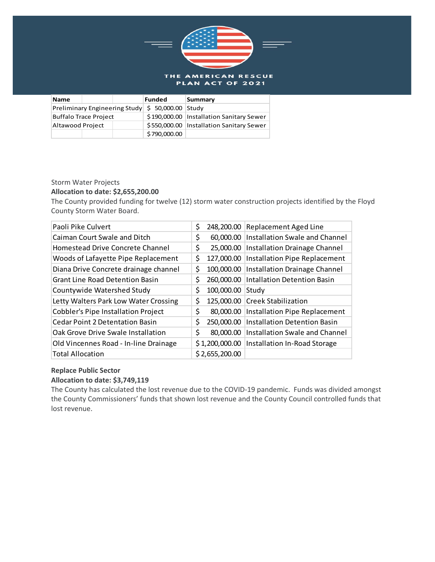

| Name                                                        |  |  | Funded                                     | Summary                                    |
|-------------------------------------------------------------|--|--|--------------------------------------------|--------------------------------------------|
| Preliminary Engineering Study $\frac{1}{5}$ 50,000.00 Study |  |  |                                            |                                            |
| Buffalo Trace Project                                       |  |  |                                            | \$190,000.00   Installation Sanitary Sewer |
| Altawood Project                                            |  |  | \$550,000.00   Installation Sanitary Sewer |                                            |
|                                                             |  |  | \$790,000.00                               |                                            |

#### Storm Water Projects

#### **Allocation to date: \$2,655,200.00**

The County provided funding for twelve (12) storm water construction projects identified by the Floyd County Storm Water Board.

| Paoli Pike Culvert                         | \$<br>248,200.00 | <b>Replacement Aged Line</b>       |
|--------------------------------------------|------------------|------------------------------------|
| Caiman Court Swale and Ditch               | \$<br>60,000.00  | Installation Swale and Channel     |
| Homestead Drive Concrete Channel           | \$<br>25,000.00  | Installation Drainage Channel      |
| Woods of Lafayette Pipe Replacement        | \$<br>127,000.00 | Installation Pipe Replacement      |
| Diana Drive Concrete drainage channel      | \$<br>100,000.00 | Installation Drainage Channel      |
| <b>Grant Line Road Detention Basin</b>     | \$<br>260,000.00 | <b>Intallation Detention Basin</b> |
| Countywide Watershed Study                 | \$<br>100,000.00 | Study                              |
| Letty Walters Park Low Water Crossing      | \$<br>125,000.00 | <b>Creek Stabilization</b>         |
| <b>Cobbler's Pipe Installation Project</b> | \$<br>80,000.00  | Installation Pipe Replacement      |
| <b>Cedar Point 2 Detentation Basin</b>     | \$<br>250,000.00 | Installation Detention Basin       |
| Oak Grove Drive Swale Installation         | \$<br>80,000.00  | Installation Swale and Channel     |
| Old Vincennes Road - In-line Drainage      | \$1,200,000.00   | Installation In-Road Storage       |
| <b>Total Allocation</b>                    | \$2,655,200.00   |                                    |

#### **Replace Public Sector**

#### **Allocation to date: \$3,749,119**

The County has calculated the lost revenue due to the COVID-19 pandemic. Funds was divided amongst the County Commissioners' funds that shown lost revenue and the County Council controlled funds that lost revenue.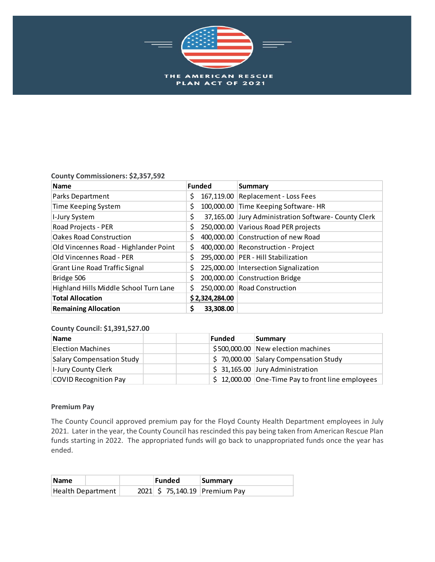

#### **County Commissioners: \$2,357,592**

| <b>Name</b>                            | <b>Funded</b>  | <b>Summary</b>                                       |
|----------------------------------------|----------------|------------------------------------------------------|
| Parks Department                       | Ş              | 167,119.00 Replacement - Loss Fees                   |
| Time Keeping System                    | \$.            | 100,000.00 Time Keeping Software-HR                  |
| I-Jury System                          | \$             | 37,165.00 Jury Administration Software- County Clerk |
| Road Projects - PER                    | \$             | 250,000.00 Various Road PER projects                 |
| <b>Oakes Road Construction</b>         | \$             | 400,000.00 Construction of new Road                  |
| Old Vincennes Road - Highlander Point  | \$             | 400,000.00 Reconstruction - Project                  |
| Old Vincennes Road - PER               |                | 295,000.00 PER - Hill Stabilization                  |
| Grant Line Road Traffic Signal         | \$             | 225,000.00   Intersection Signalization              |
| Bridge 506                             | \$             | 200,000.00 Construction Bridge                       |
| Highland Hills Middle School Turn Lane | Ś.             | 250,000.00 Road Construction                         |
| <b>Total Allocation</b>                | \$2,324,284.00 |                                                      |
| <b>Remaining Allocation</b>            | 33,308.00<br>Ş |                                                      |

#### **County Council: \$1,391,527.00**

| <b>Name</b>                | Funded | Summary                                                      |
|----------------------------|--------|--------------------------------------------------------------|
| <b>Election Machines</b>   |        | \$500,000.00 New election machines                           |
| Salary Compensation Study  |        | \$70,000.00 Salary Compensation Study                        |
| <b>I-Jury County Clerk</b> |        | $$31,165.00$ Jury Administration                             |
| COVID Recognition Pay      |        | $\frac{1}{2}$ 12,000.00 One-Time Pay to front line employees |

#### **Premium Pay**

The County Council approved premium pay for the Floyd County Health Department employees in July 2021. Later in the year, the County Council has rescinded this pay being taken from American Rescue Plan funds starting in 2022. The appropriated funds will go back to unappropriated funds once the year has ended.

| <b>Name</b>       | Funded | Summary                      |
|-------------------|--------|------------------------------|
| Health Department |        | 2021 \$75,140.19 Premium Pay |